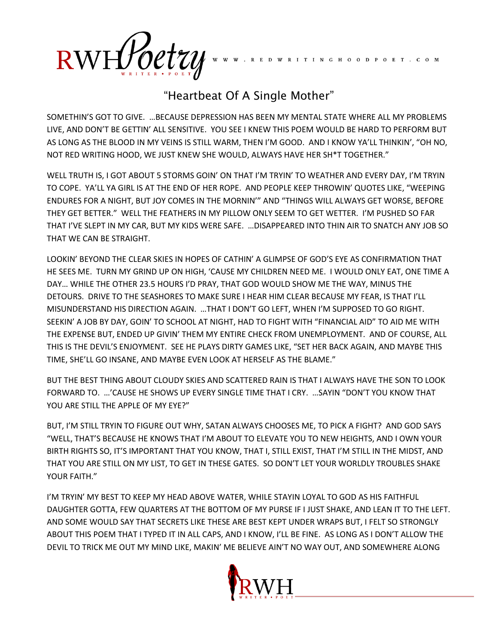$RWH\!f\!f\!o$ etzy

## "Heartbeat Of A Single Mother"

I T I N G H O O D P O E T . C O M

SOMETHIN'S GOT TO GIVE. …BECAUSE DEPRESSION HAS BEEN MY MENTAL STATE WHERE ALL MY PROBLEMS LIVE, AND DON'T BE GETTIN' ALL SENSITIVE. YOU SEE I KNEW THIS POEM WOULD BE HARD TO PERFORM BUT AS LONG AS THE BLOOD IN MY VEINS IS STILL WARM, THEN I'M GOOD. AND I KNOW YA'LL THINKIN', "OH NO, NOT RED WRITING HOOD, WE JUST KNEW SHE WOULD, ALWAYS HAVE HER SH\*T TOGETHER."

WELL TRUTH IS, I GOT ABOUT 5 STORMS GOIN' ON THAT I'M TRYIN' TO WEATHER AND EVERY DAY, I'M TRYIN TO COPE. YA'LL YA GIRL IS AT THE END OF HER ROPE. AND PEOPLE KEEP THROWIN' QUOTES LIKE, "WEEPING ENDURES FOR A NIGHT, BUT JOY COMES IN THE MORNIN'" AND "THINGS WILL ALWAYS GET WORSE, BEFORE THEY GET BETTER." WELL THE FEATHERS IN MY PILLOW ONLY SEEM TO GET WETTER. I'M PUSHED SO FAR THAT I'VE SLEPT IN MY CAR, BUT MY KIDS WERE SAFE. …DISAPPEARED INTO THIN AIR TO SNATCH ANY JOB SO THAT WE CAN BE STRAIGHT.

LOOKIN' BEYOND THE CLEAR SKIES IN HOPES OF CATHIN' A GLIMPSE OF GOD'S EYE AS CONFIRMATION THAT HE SEES ME. TURN MY GRIND UP ON HIGH, 'CAUSE MY CHILDREN NEED ME. I WOULD ONLY EAT, ONE TIME A DAY… WHILE THE OTHER 23.5 HOURS I'D PRAY, THAT GOD WOULD SHOW ME THE WAY, MINUS THE DETOURS. DRIVE TO THE SEASHORES TO MAKE SURE I HEAR HIM CLEAR BECAUSE MY FEAR, IS THAT I'LL MISUNDERSTAND HIS DIRECTION AGAIN. …THAT I DON'T GO LEFT, WHEN I'M SUPPOSED TO GO RIGHT. SEEKIN' A JOB BY DAY, GOIN' TO SCHOOL AT NIGHT, HAD TO FIGHT WITH "FINANCIAL AID" TO AID ME WITH THE EXPENSE BUT, ENDED UP GIVIN' THEM MY ENTIRE CHECK FROM UNEMPLOYMENT. AND OF COURSE, ALL THIS IS THE DEVIL'S ENJOYMENT. SEE HE PLAYS DIRTY GAMES LIKE, "SET HER BACK AGAIN, AND MAYBE THIS TIME, SHE'LL GO INSANE, AND MAYBE EVEN LOOK AT HERSELF AS THE BLAME."

BUT THE BEST THING ABOUT CLOUDY SKIES AND SCATTERED RAIN IS THAT I ALWAYS HAVE THE SON TO LOOK FORWARD TO. …'CAUSE HE SHOWS UP EVERY SINGLE TIME THAT I CRY. …SAYIN "DON'T YOU KNOW THAT YOU ARE STILL THE APPLE OF MY EYE?"

BUT, I'M STILL TRYIN TO FIGURE OUT WHY, SATAN ALWAYS CHOOSES ME, TO PICK A FIGHT? AND GOD SAYS "WELL, THAT'S BECAUSE HE KNOWS THAT I'M ABOUT TO ELEVATE YOU TO NEW HEIGHTS, AND I OWN YOUR BIRTH RIGHTS SO, IT'S IMPORTANT THAT YOU KNOW, THAT I, STILL EXIST, THAT I'M STILL IN THE MIDST, AND THAT YOU ARE STILL ON MY LIST, TO GET IN THESE GATES. SO DON'T LET YOUR WORLDLY TROUBLES SHAKE YOUR FAITH."

I'M TRYIN' MY BEST TO KEEP MY HEAD ABOVE WATER, WHILE STAYIN LOYAL TO GOD AS HIS FAITHFUL DAUGHTER GOTTA, FEW QUARTERS AT THE BOTTOM OF MY PURSE IF I JUST SHAKE, AND LEAN IT TO THE LEFT. AND SOME WOULD SAY THAT SECRETS LIKE THESE ARE BEST KEPT UNDER WRAPS BUT, I FELT SO STRONGLY ABOUT THIS POEM THAT I TYPED IT IN ALL CAPS, AND I KNOW, I'LL BE FINE. AS LONG AS I DON'T ALLOW THE DEVIL TO TRICK ME OUT MY MIND LIKE, MAKIN' ME BELIEVE AIN'T NO WAY OUT, AND SOMEWHERE ALONG